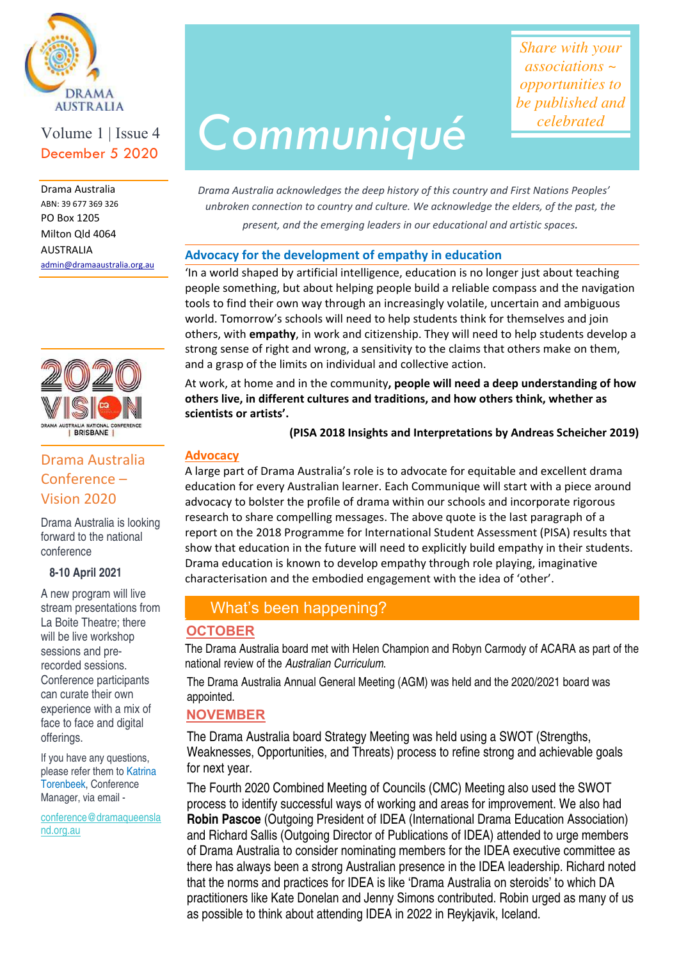

# Volume 1 | Issue 4

 Milton Qld 4064 admin@dramaaustralia.org.au Drama Australia ABN: 39 677 369 326 PO Box 1205 AUSTRALIA

Ξ



# Drama Australia Conference – Vision 2020

Drama Australia is looking forward to the national conference

#### **8-10 April 2021**

A new program will live stream presentations from La Boite Theatre; there will be live workshop sessions and prerecorded sessions. Conference participants can curate their own experience with a mix of face to face and digital offerings.

If you have any questions, please refer them to Katrina Torenbeek, Conference Manager, via email -

conference@dramaqueensla nd.org.au

# AUSTRALIA<br>Volume 1 | Issue 4 **Communiqué**

*Share with your associations ~ opportunities to be published and celebrated*

 *present, and the emerging leaders in our educational and artistic spaces. Drama Australia acknowledges the deep history of this country and First Nations Peoples' unbroken connection to country and culture. We acknowledge the elders, of the past, the* 

### **Advocacy for the development of empathy in education**

'In a world shaped by artificial intelligence, education is no longer just about teaching people something, but about helping people build a reliable compass and the navigation tools to find their own way through an increasingly volatile, uncertain and ambiguous world. Tomorrow's schools will need to help students think for themselves and join others, with **empathy**, in work and citizenship. They will need to help students develop a strong sense of right and wrong, a sensitivity to the claims that others make on them, and a grasp of the limits on individual and collective action.

At work, at home and in the community**, people will need a deep understanding of how others live, in different cultures and traditions, and how others think, whether as scientists or artists'.** 

#### **(PISA 2018 Insights and Interpretations by Andreas Scheicher 2019)**

#### **Advocacy**

A large part of Drama Australia's role is to advocate for equitable and excellent drama education for every Australian learner. Each Communique will start with a piece around advocacy to bolster the profile of drama within our schools and incorporate rigorous research to share compelling messages. The above quote is the last paragraph of a report on the 2018 Programme for International Student Assessment (PISA) results that show that education in the future will need to explicitly build empathy in their students. Drama education is known to develop empathy through role playing, imaginative characterisation and the embodied engagement with the idea of 'other'. l,

# What's been happening?

## **OCTOBER**

The Drama Australia board met with Helen Champion and Robyn Carmody of ACARA as part of the national review of the Australian Curriculum.

The Drama Australia Annual General Meeting (AGM) was held and the 2020/2021 board was appointed.

# **NOVEMBER**

The Drama Australia board Strategy Meeting was held using a SWOT (Strengths, Weaknesses, Opportunities, and Threats) process to refine strong and achievable goals for next year.

The Fourth 2020 Combined Meeting of Councils (CMC) Meeting also used the SWOT process to identify successful ways of working and areas for improvement. We also had **Robin Pascoe** (Outgoing President of IDEA (International Drama Education Association) and Richard Sallis (Outgoing Director of Publications of IDEA) attended to urge members of Drama Australia to consider nominating members for the IDEA executive committee as there has always been a strong Australian presence in the IDEA leadership. Richard noted that the norms and practices for IDEA is like 'Drama Australia on steroids' to which DA practitioners like Kate Donelan and Jenny Simons contributed. Robin urged as many of us as possible to think about attending IDEA in 2022 in Reykjavik, Iceland.